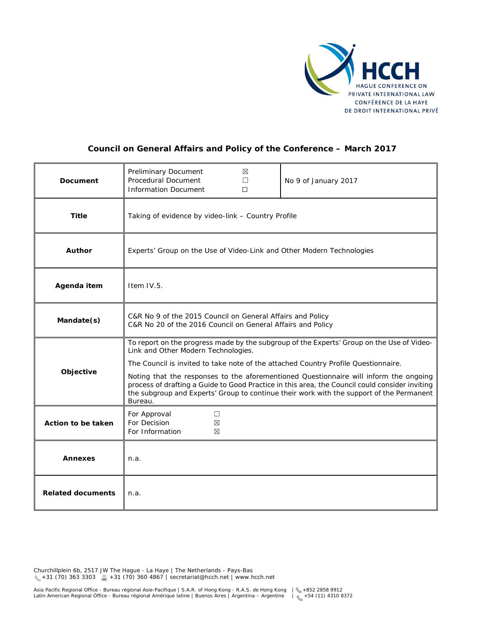

### **Council on General Affairs and Policy of the Conference – March 2017**

| <b>Document</b>          | Preliminary Document<br>⊠<br><b>Procedural Document</b><br>$\Box$<br><b>Information Document</b><br>$\Box$                                                                                                                                                                                                                                                                                                                                                                                                               | No 9 of January 2017 |
|--------------------------|--------------------------------------------------------------------------------------------------------------------------------------------------------------------------------------------------------------------------------------------------------------------------------------------------------------------------------------------------------------------------------------------------------------------------------------------------------------------------------------------------------------------------|----------------------|
| <b>Title</b>             | Taking of evidence by video-link - Country Profile                                                                                                                                                                                                                                                                                                                                                                                                                                                                       |                      |
| <b>Author</b>            | Experts' Group on the Use of Video-Link and Other Modern Technologies                                                                                                                                                                                                                                                                                                                                                                                                                                                    |                      |
| Agenda item              | Item IV.5.                                                                                                                                                                                                                                                                                                                                                                                                                                                                                                               |                      |
| Mandate(s)               | C&R No 9 of the 2015 Council on General Affairs and Policy<br>C&R No 20 of the 2016 Council on General Affairs and Policy                                                                                                                                                                                                                                                                                                                                                                                                |                      |
| Objective                | To report on the progress made by the subgroup of the Experts' Group on the Use of Video-<br>Link and Other Modern Technologies.<br>The Council is invited to take note of the attached Country Profile Questionnaire.<br>Noting that the responses to the aforementioned Questionnaire will inform the ongoing<br>process of drafting a Guide to Good Practice in this area, the Council could consider inviting<br>the subgroup and Experts' Group to continue their work with the support of the Permanent<br>Bureau. |                      |
| Action to be taken       | For Approval<br>□<br>For Decision<br>⊠<br>For Information<br>⊠                                                                                                                                                                                                                                                                                                                                                                                                                                                           |                      |
| <b>Annexes</b>           | n.a.                                                                                                                                                                                                                                                                                                                                                                                                                                                                                                                     |                      |
| <b>Related documents</b> | n.a.                                                                                                                                                                                                                                                                                                                                                                                                                                                                                                                     |                      |

Churchillplein 6b, 2517 JW The Hague - La Haye | The Netherlands - Pays-Bas +31 (70) 363 3303 +31 (70) 360 4867 | secretariat@hcch.net | www.hcch.net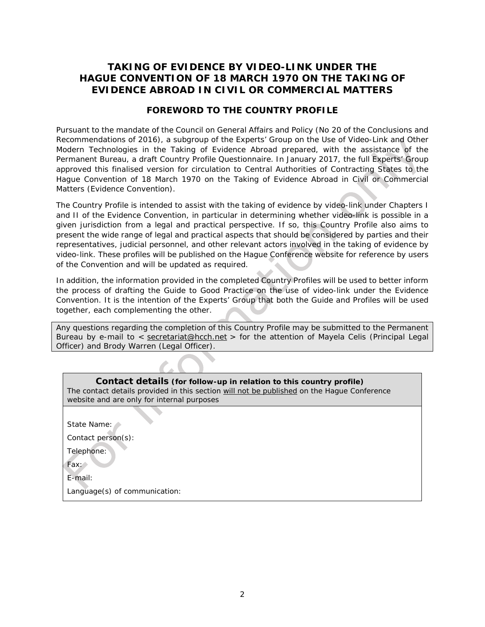# **TAKING OF EVIDENCE BY VIDEO-LINK UNDER THE**  *HAGUE CONVENTION OF 18 MARCH 1970 ON THE TAKING OF EVIDENCE ABROAD IN CIVIL OR COMMERCIAL MATTERS*

### **FOREWORD TO THE COUNTRY PROFILE**

Pursuant to the mandate of the Council on General Affairs and Policy (No 20 of the Conclusions and Recommendations of 2016), a subgroup of the *Experts' Group on the Use of Video-Link and Other Modern Technologies in the Taking of Evidence Abroad* prepared, with the assistance of the Permanent Bureau, a draft Country Profile Questionnaire. In January 2017, the full Experts' Group approved this finalised version for circulation to Central Authorities of Contracting States to the *Hague Convention of 18 March 1970 on the Taking of Evidence Abroad in Civil or Commercial Matters* (Evidence Convention).

The Country Profile is intended to assist with the taking of evidence by video-link under Chapters I and II of the Evidence Convention, in particular in determining whether video-link is possible in a given jurisdiction from a legal and practical perspective. If so, this Country Profile also aims to present the wide range of legal and practical aspects that should be considered by parties and their representatives, judicial personnel, and other relevant actors involved in the taking of evidence by video-link. These profiles will be published on the Hague Conference website for reference by users of the Convention and will be updated as required.

In addition, the information provided in the completed Country Profiles will be used to better inform the process of drafting the Guide to Good Practice on the use of video-link under the Evidence Convention. It is the intention of the Experts' Group that both the Guide and Profiles will be used together, each complementing the other.

Any questions regarding the completion of this Country Profile may be submitted to the Permanent Bureau by e-mail to < [secretariat@hcch.net](mailto:secretariat@hcch.net) > for the attention of Mayela Celis (Principal Legal Officer) and Brody Warren (Legal Officer).

#### **Contact details (for follow-up in relation to this country profile)**

*The contact details provided in this section will not be published on the Hague Conference website and are only for internal purposes*

State Name:

Contact person(s):

Telephone:

Fax:

E-mail:

Language(s) of communication: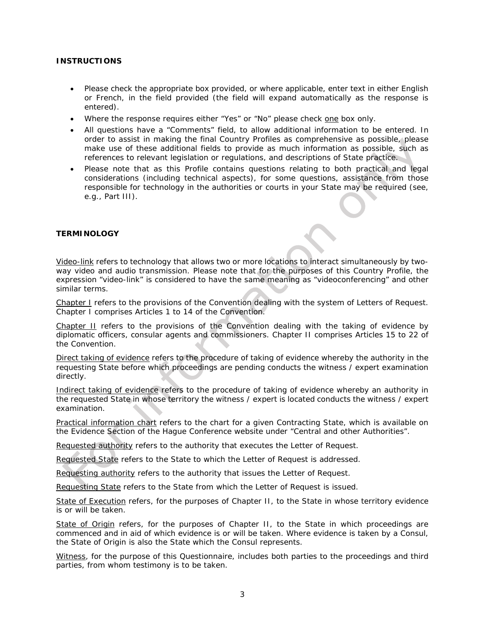#### **INSTRUCTIONS**

- Please check the appropriate box provided, or where applicable, enter text in either English or French, in the field provided (the field will expand automatically as the response is entered).
- Where the response requires either "Yes" or "No" please check one box only.
- All questions have a "Comments" field, to allow additional information to be entered. In order to assist in making the final Country Profiles as comprehensive as possible, please make use of these additional fields to provide as much information as possible, such as references to relevant legislation or regulations, and descriptions of State practice.
- Please note that as this Profile contains questions relating to both practical and legal considerations (including technical aspects), for some questions, assistance from those responsible for technology in the authorities or courts in your State may be required (see, *e.g.*, Part III).

#### **TERMINOLOGY**

*Video-link* refers to technology that allows two or more locations to interact simultaneously by twoway video and audio transmission. Please note that for the purposes of this Country Profile, the expression "video-link" is considered to have the same meaning as "videoconferencing" and other similar terms.

*Chapter I* refers to the provisions of the Convention dealing with the system of Letters of Request. Chapter I comprises Articles 1 to 14 of the Convention.

*Chapter II* refers to the provisions of the Convention dealing with the taking of evidence by diplomatic officers, consular agents and commissioners. Chapter II comprises Articles 15 to 22 of the Convention.

*Direct taking of evidence* refers to the procedure of taking of evidence whereby the authority in the requesting State before which proceedings are pending conducts the witness / expert examination directly.

*Indirect taking of evidence* refers to the procedure of taking of evidence whereby an authority in the requested State in whose territory the witness / expert is located conducts the witness / expert examination.

*Practical information chart* refers to the chart for a given Contracting State, which is available on the Evidence Section of the Hague Conference website under "Central and other Authorities".

*Requested authority* refers to the authority that executes the Letter of Request.

*Requested State* refers to the State to which the Letter of Request is addressed.

*Requesting authority* refers to the authority that issues the Letter of Request.

*Requesting State* refers to the State from which the Letter of Request is issued.

*State of Execution* refers, for the purposes of Chapter II, to the State in whose territory evidence is or will be taken.

*State of Origin* refers, for the purposes of Chapter II, to the State in which proceedings are commenced and in aid of which evidence is or will be taken. Where evidence is taken by a Consul, the State of Origin is also the State which the Consul represents.

*Witness*, for the purpose of this Questionnaire, includes both parties to the proceedings and third parties, from whom testimony is to be taken.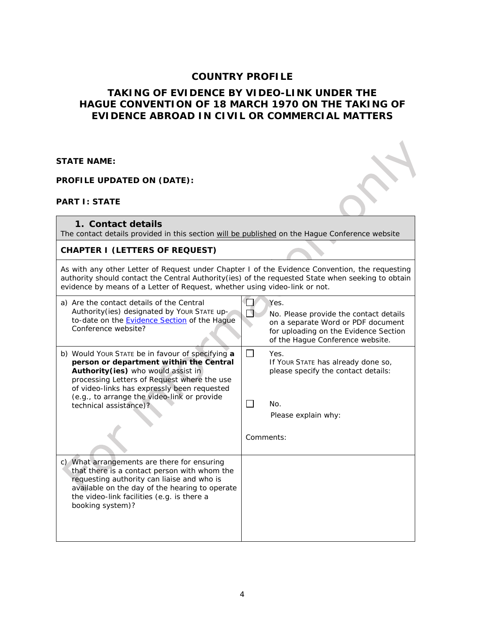## **COUNTRY PROFILE**

# **TAKING OF EVIDENCE BY VIDEO-LINK UNDER THE** *HAGUE CONVENTION OF 18 MARCH 1970 ON THE TAKING OF EVIDENCE ABROAD IN CIVIL OR COMMERCIAL MATTERS*

**STATE NAME:** 

**PROFILE UPDATED ON (DATE):** 

#### **PART I: STATE**

**1. Contact details**  *The contact details provided in this section will be published on the Hague Conference website* **CHAPTER I (LETTERS OF REQUEST)** *As with any other Letter of Request under Chapter I of the Evidence Convention, the requesting authority should contact the Central Authority(ies) of the requested State when seeking to obtain evidence by means of a Letter of Request, whether using video-link or not.*  a) Are the contact details of the Central TТ Yes. Authority(ies) designated by YOUR STATE up-No. Please provide the contact details П to-date on the **Evidence Section** of the Hague on a separate Word or PDF document Conference website? for uploading on the Evidence Section of the Hague Conference website. b) Would YOUR STATE be in favour of specifying **a** П Yes. **person or department within the Central**  If YOUR STATE has already done so, **Authority(ies)** who would assist in please specify the contact details: processing Letters of Request where the use of video-links has expressly been requested (*e.g.*, to arrange the video-link or provide  $\Box$ No. technical assistance)? Please explain why: *Comments*: c) What arrangements are there for ensuring that there is a contact person with whom the requesting authority can liaise and who is available on the day of the hearing to operate the video-link facilities (*e.g.* is there a booking system)?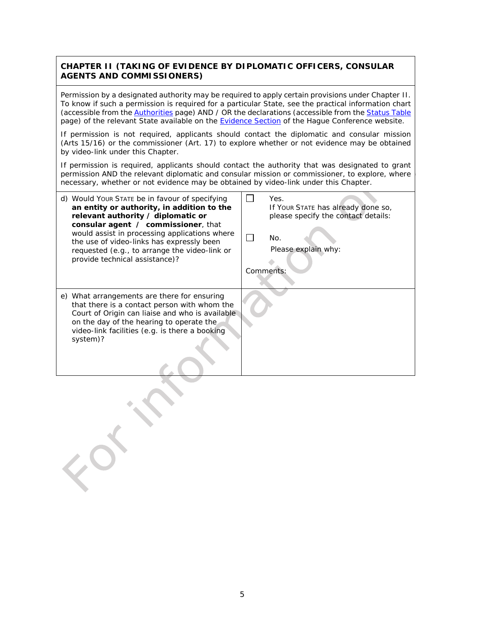### **CHAPTER II (TAKING OF EVIDENCE BY DIPLOMATIC OFFICERS, CONSULAR AGENTS AND COMMISSIONERS)**

*Permission by a designated authority may be required to apply certain provisions under Chapter II. To know if such a permission is required for a particular State, see the practical information chart (accessible from th[e Authorities](https://www.hcch.net/en/instruments/conventions/authorities1/?cid=82) page) AND / OR the declarations (accessible from the [Status Table](https://www.hcch.net/en/instruments/conventions/status-table/?cid=82) page) of the relevant State available on the [Evidence Section](https://www.hcch.net/en/instruments/specialised-sections/evidence) of the Hague Conference website.*

*If permission is not required, applicants should contact the diplomatic and consular mission (Arts 15/16) or the commissioner (Art. 17) to explore whether or not evidence may be obtained by video-link under this Chapter.*

*If permission is required, applicants should contact the authority that was designated to grant permission AND the relevant diplomatic and consular mission or commissioner, to explore, where necessary, whether or not evidence may be obtained by video-link under this Chapter.*

| d) Would Your State be in favour of specifying<br>an entity or authority, in addition to the<br>relevant authority / diplomatic or<br>consular agent / commissioner, that<br>would assist in processing applications where<br>the use of video-links has expressly been<br>requested (e.g., to arrange the video-link or<br>provide technical assistance)? | Yes.<br>If Your STATE has already done so,<br>please specify the contact details:<br>No.<br>Please explain why:<br>Comments: |
|------------------------------------------------------------------------------------------------------------------------------------------------------------------------------------------------------------------------------------------------------------------------------------------------------------------------------------------------------------|------------------------------------------------------------------------------------------------------------------------------|
| e) What arrangements are there for ensuring<br>that there is a contact person with whom the<br>Court of Origin can liaise and who is available<br>on the day of the hearing to operate the<br>video-link facilities (e.g. is there a booking<br>system)?                                                                                                   |                                                                                                                              |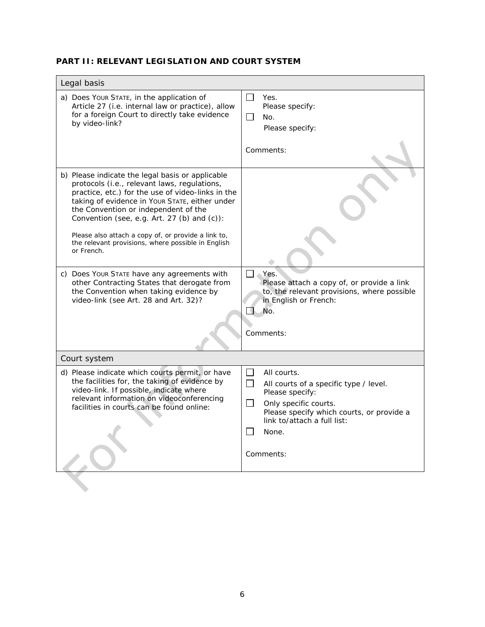# **PART II: RELEVANT LEGISLATION AND COURT SYSTEM**

| Legal basis                                                                                                                                                                                                                                                                                                                                                                                                                                                                                                                                                                                                |                                                                                                                                                                                                                               |  |
|------------------------------------------------------------------------------------------------------------------------------------------------------------------------------------------------------------------------------------------------------------------------------------------------------------------------------------------------------------------------------------------------------------------------------------------------------------------------------------------------------------------------------------------------------------------------------------------------------------|-------------------------------------------------------------------------------------------------------------------------------------------------------------------------------------------------------------------------------|--|
| a) Does Your STATE, in the application of<br>Article 27 (i.e. internal law or practice), allow<br>for a foreign Court to directly take evidence<br>by video-link?                                                                                                                                                                                                                                                                                                                                                                                                                                          | $\blacksquare$<br>Yes.<br>Please specify:<br>$\overline{\phantom{a}}$<br>No.<br>Please specify:<br>Comments:                                                                                                                  |  |
| b) Please indicate the legal basis or applicable<br>protocols (i.e., relevant laws, regulations,<br>practice, etc.) for the use of video-links in the<br>taking of evidence in Your STATE, either under<br>the Convention or independent of the<br>Convention (see, e.g. Art. 27 (b) and (c)):<br>Please also attach a copy of, or provide a link to,<br>the relevant provisions, where possible in English<br>or French.<br>c) Does Your STATE have any agreements with<br>other Contracting States that derogate from<br>the Convention when taking evidence by<br>video-link (see Art. 28 and Art. 32)? | Yes.<br>Please attach a copy of, or provide a link<br>to, the relevant provisions, where possible<br>in English or French:                                                                                                    |  |
|                                                                                                                                                                                                                                                                                                                                                                                                                                                                                                                                                                                                            | No.<br>Comments:                                                                                                                                                                                                              |  |
| Court system                                                                                                                                                                                                                                                                                                                                                                                                                                                                                                                                                                                               |                                                                                                                                                                                                                               |  |
| d) Please indicate which courts permit, or have<br>the facilities for, the taking of evidence by<br>video-link. If possible, indicate where<br>relevant information on videoconferencing<br>facilities in courts can be found online:                                                                                                                                                                                                                                                                                                                                                                      | $\mathsf{L}$<br>All courts.<br>$\Box$<br>All courts of a specific type / level.<br>Please specify:<br>Only specific courts.<br>Please specify which courts, or provide a<br>link to/attach a full list:<br>None.<br>Comments: |  |
|                                                                                                                                                                                                                                                                                                                                                                                                                                                                                                                                                                                                            |                                                                                                                                                                                                                               |  |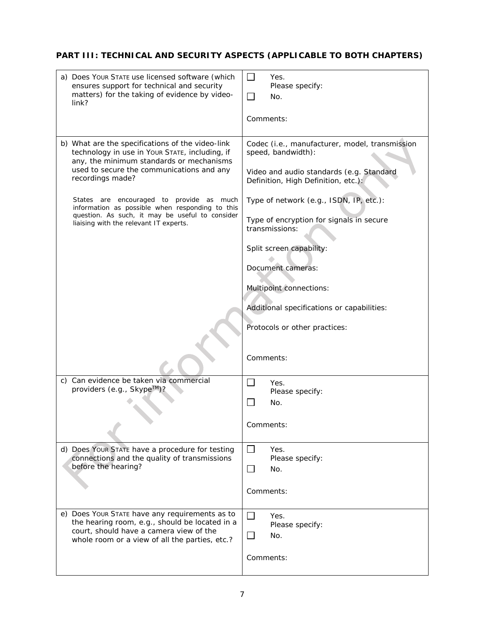# **PART III: TECHNICAL AND SECURITY ASPECTS (APPLICABLE TO BOTH CHAPTERS)**

| a) Does Your STATE use licensed software (which<br>ensures support for technical and security<br>matters) for the taking of evidence by video-<br>link?                                                                                                                                                                                                                                                     | $\perp$<br>Yes.<br>Please specify:<br>$\Box$<br>No.<br>Comments:                                                                                                                                                                                                                                                                                                                                                            |
|-------------------------------------------------------------------------------------------------------------------------------------------------------------------------------------------------------------------------------------------------------------------------------------------------------------------------------------------------------------------------------------------------------------|-----------------------------------------------------------------------------------------------------------------------------------------------------------------------------------------------------------------------------------------------------------------------------------------------------------------------------------------------------------------------------------------------------------------------------|
| b) What are the specifications of the video-link<br>technology in use in Your STATE, including, if<br>any, the minimum standards or mechanisms<br>used to secure the communications and any<br>recordings made?<br>States are encouraged to provide as much<br>information as possible when responding to this<br>question. As such, it may be useful to consider<br>liaising with the relevant IT experts. | Codec (i.e., manufacturer, model, transmission<br>speed, bandwidth):<br>Video and audio standards (e.g. Standard<br>Definition, High Definition, etc.):<br>Type of network (e.g., ISDN, IP, etc.):<br>Type of encryption for signals in secure<br>transmissions:<br>Split screen capability:<br>Document cameras:<br>Multipoint connections:<br>Additional specifications or capabilities:<br>Protocols or other practices: |
|                                                                                                                                                                                                                                                                                                                                                                                                             | Comments:                                                                                                                                                                                                                                                                                                                                                                                                                   |
| c) Can evidence be taken via commercial<br>providers $(e.g., SkypeTM)$ ?                                                                                                                                                                                                                                                                                                                                    | Yes.<br>Please specify:<br>No.<br>Comments:                                                                                                                                                                                                                                                                                                                                                                                 |
| d) Does Your STATE have a procedure for testing<br>connections and the quality of transmissions<br>before the hearing?                                                                                                                                                                                                                                                                                      | $\Box$<br>Yes.<br>Please specify:<br>$\mathsf{L}$<br>No.<br>Comments:                                                                                                                                                                                                                                                                                                                                                       |
| e) Does Your STATE have any requirements as to<br>the hearing room, e.g., should be located in a<br>court, should have a camera view of the<br>whole room or a view of all the parties, etc.?                                                                                                                                                                                                               | $\Box$<br>Yes.<br>Please specify:<br>No.<br>$\blacksquare$<br>Comments:                                                                                                                                                                                                                                                                                                                                                     |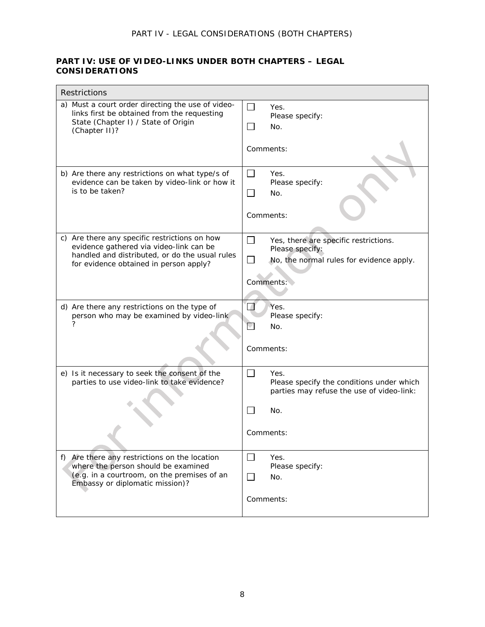## **PART IV: USE OF VIDEO-LINKS UNDER BOTH CHAPTERS – LEGAL CONSIDERATIONS**

| Restrictions                                                                                                                                                                         |                                                                                                                                             |  |
|--------------------------------------------------------------------------------------------------------------------------------------------------------------------------------------|---------------------------------------------------------------------------------------------------------------------------------------------|--|
| a) Must a court order directing the use of video-<br>links first be obtained from the requesting<br>State (Chapter I) / State of Origin<br>(Chapter II)?                             | П<br>Yes.<br>Please specify:<br>$\mathbf{L}$<br>No.<br>Comments:                                                                            |  |
|                                                                                                                                                                                      |                                                                                                                                             |  |
| b) Are there any restrictions on what type/s of<br>evidence can be taken by video-link or how it<br>is to be taken?                                                                  | П<br>Yes.<br>Please specify:<br>$\Box$<br>No.                                                                                               |  |
|                                                                                                                                                                                      | Comments:                                                                                                                                   |  |
| c) Are there any specific restrictions on how<br>evidence gathered via video-link can be<br>handled and distributed, or do the usual rules<br>for evidence obtained in person apply? | $\Box$<br>Yes, there are specific restrictions.<br>Please specify:<br>No, the normal rules for evidence apply.<br>$\mathsf{L}$<br>Comments: |  |
|                                                                                                                                                                                      |                                                                                                                                             |  |
| d) Are there any restrictions on the type of<br>person who may be examined by video-link<br>?                                                                                        | $\sqrt{2}$<br>Yes.<br>Please specify:<br>V<br>No.<br>Comments:                                                                              |  |
|                                                                                                                                                                                      |                                                                                                                                             |  |
| e) Is it necessary to seek the consent of the<br>parties to use video-link to take evidence?                                                                                         | ┐<br>Yes.<br>Please specify the conditions under which<br>parties may refuse the use of video-link:<br>No.                                  |  |
|                                                                                                                                                                                      | Comments:                                                                                                                                   |  |
| f) Are there any restrictions on the location<br>where the person should be examined<br>(e.g. in a courtroom, on the premises of an<br>Embassy or diplomatic mission)?               | $\perp$<br>Yes.<br>Please specify:<br>$\perp$<br>No.                                                                                        |  |
|                                                                                                                                                                                      | Comments:                                                                                                                                   |  |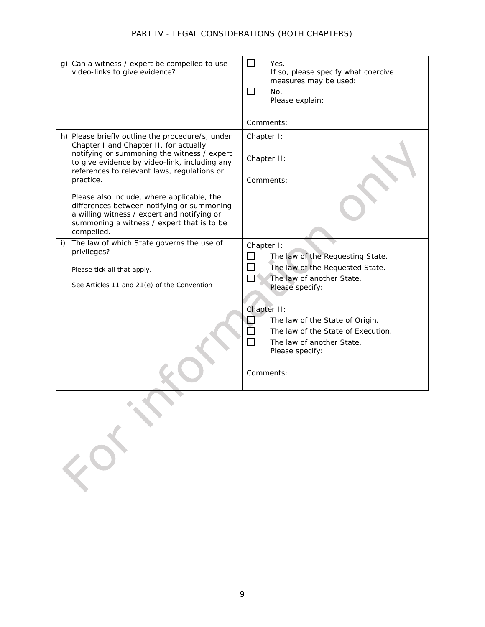## *PART IV - LEGAL CONSIDERATIONS (BOTH CHAPTERS)*

| g) Can a witness / expert be compelled to use<br>video-links to give evidence?                                                                                                                                                                                                                                                                                                                                                                                | $\mathsf{L}$<br>Yes.<br>If so, please specify what coercive<br>measures may be used:<br>$\mathsf{L}$<br>No.<br>Please explain:                    |
|---------------------------------------------------------------------------------------------------------------------------------------------------------------------------------------------------------------------------------------------------------------------------------------------------------------------------------------------------------------------------------------------------------------------------------------------------------------|---------------------------------------------------------------------------------------------------------------------------------------------------|
|                                                                                                                                                                                                                                                                                                                                                                                                                                                               | Comments:                                                                                                                                         |
| h) Please briefly outline the procedure/s, under<br>Chapter I and Chapter II, for actually<br>notifying or summoning the witness / expert<br>to give evidence by video-link, including any<br>references to relevant laws, regulations or<br>practice.<br>Please also include, where applicable, the<br>differences between notifying or summoning<br>a willing witness / expert and notifying or<br>summoning a witness / expert that is to be<br>compelled. | Chapter I:<br>Chapter II:<br>Comments:                                                                                                            |
| i) The law of which State governs the use of<br>privileges?                                                                                                                                                                                                                                                                                                                                                                                                   | Chapter I:                                                                                                                                        |
|                                                                                                                                                                                                                                                                                                                                                                                                                                                               | The law of the Requesting State.<br>The law of the Requested State.                                                                               |
| Please tick all that apply.<br>See Articles 11 and 21(e) of the Convention                                                                                                                                                                                                                                                                                                                                                                                    | The law of another State.<br>Please specify:                                                                                                      |
|                                                                                                                                                                                                                                                                                                                                                                                                                                                               | Chapter II:<br>The law of the State of Origin.<br>The law of the State of Execution.<br>The law of another State.<br>Please specify:<br>Comments: |
|                                                                                                                                                                                                                                                                                                                                                                                                                                                               |                                                                                                                                                   |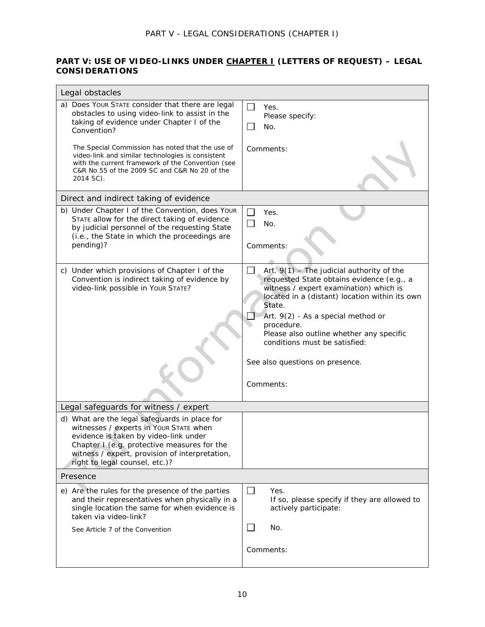### **PART V: USE OF VIDEO-LINKS UNDER CHAPTER I (LETTERS OF REQUEST) – LEGAL CONSIDERATIONS**

| Legal obstacles                                                                                                                                                                                                                                                       |                                                                                                                                                                                                                                                                                                                                                                                       |  |
|-----------------------------------------------------------------------------------------------------------------------------------------------------------------------------------------------------------------------------------------------------------------------|---------------------------------------------------------------------------------------------------------------------------------------------------------------------------------------------------------------------------------------------------------------------------------------------------------------------------------------------------------------------------------------|--|
| a) Does Your STATE consider that there are legal<br>obstacles to using video-link to assist in the<br>taking of evidence under Chapter I of the<br>Convention?                                                                                                        | $\Box$<br>Yes.<br>Please specify:<br>No.                                                                                                                                                                                                                                                                                                                                              |  |
| The Special Commission has noted that the use of<br>video-link and similar technologies is consistent<br>with the current framework of the Convention (see<br>C&R No 55 of the 2009 SC and C&R No 20 of the<br>2014 SC).                                              | Comments:                                                                                                                                                                                                                                                                                                                                                                             |  |
| Direct and indirect taking of evidence                                                                                                                                                                                                                                |                                                                                                                                                                                                                                                                                                                                                                                       |  |
| b) Under Chapter I of the Convention, does Your<br>STATE allow for the direct taking of evidence<br>by judicial personnel of the requesting State<br>(i.e., the State in which the proceedings are<br>pending)?                                                       | Yes.<br>No.<br>Comments:                                                                                                                                                                                                                                                                                                                                                              |  |
| c) Under which provisions of Chapter I of the<br>Convention is indirect taking of evidence by<br>video-link possible in Your STATE?                                                                                                                                   | Art. $9(1)$ - The judicial authority of the<br>LI<br>requested State obtains evidence (e.g., a<br>witness / expert examination) which is<br>located in a (distant) location within its own<br>State.<br>Art. 9(2) - As a special method or<br>procedure.<br>Please also outline whether any specific<br>conditions must be satisfied:<br>See also questions on presence.<br>Comments: |  |
| Legal safeguards for witness / expert                                                                                                                                                                                                                                 |                                                                                                                                                                                                                                                                                                                                                                                       |  |
| d) What are the legal safeguards in place for<br>witnesses / experts in Your STATE when<br>evidence is taken by video-link under<br>Chapter $I$ (e.g. protective measures for the<br>witness / expert, provision of interpretation,<br>right to legal counsel, etc.)? |                                                                                                                                                                                                                                                                                                                                                                                       |  |
| Presence                                                                                                                                                                                                                                                              |                                                                                                                                                                                                                                                                                                                                                                                       |  |
| e) Are the rules for the presence of the parties<br>and their representatives when physically in a<br>single location the same for when evidence is<br>taken via video-link?                                                                                          | $\perp$<br>Yes.<br>If so, please specify if they are allowed to<br>actively participate:                                                                                                                                                                                                                                                                                              |  |
| See Article 7 of the Convention                                                                                                                                                                                                                                       | No.                                                                                                                                                                                                                                                                                                                                                                                   |  |
|                                                                                                                                                                                                                                                                       | Comments:                                                                                                                                                                                                                                                                                                                                                                             |  |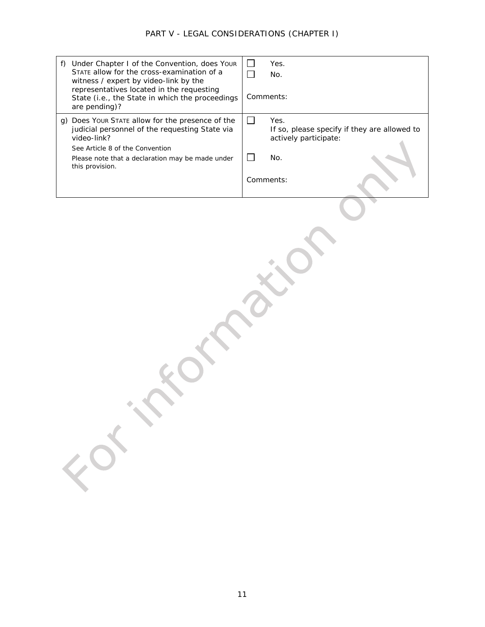| Under Chapter I of the Convention, does Your<br>f)<br>STATE allow for the cross-examination of a<br>witness / expert by video-link by the<br>representatives located in the requesting<br>State (i.e., the State in which the proceedings<br>are pending)? | Yes.<br>$\mathbf{L}$<br>No.<br>Comments:                                           |
|------------------------------------------------------------------------------------------------------------------------------------------------------------------------------------------------------------------------------------------------------------|------------------------------------------------------------------------------------|
| g) Does Your STATE allow for the presence of the<br>judicial personnel of the requesting State via<br>video-link?                                                                                                                                          | П<br>Yes.<br>If so, please specify if they are allowed to<br>actively participate: |
| See Article 8 of the Convention<br>Please note that a declaration may be made under<br>this provision.                                                                                                                                                     | No.                                                                                |
|                                                                                                                                                                                                                                                            | Comments:                                                                          |
| EDS.                                                                                                                                                                                                                                                       |                                                                                    |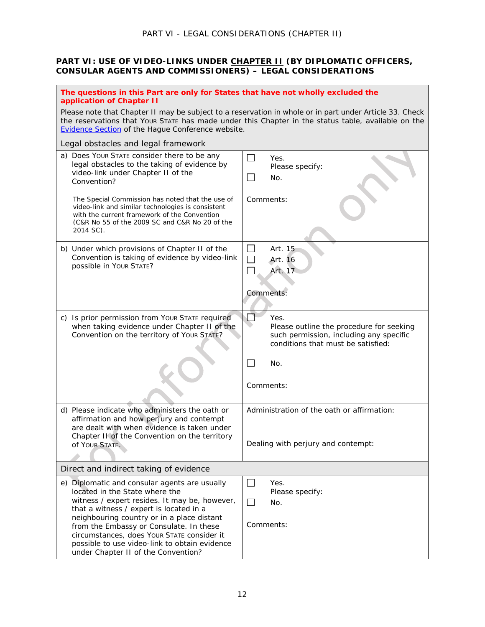#### **PART VI: USE OF VIDEO-LINKS UNDER CHAPTER II (BY DIPLOMATIC OFFICERS, CONSULAR AGENTS AND COMMISSIONERS) – LEGAL CONSIDERATIONS**

| The questions in this Part are only for States that have not wholly excluded the<br>application of Chapter II                                                                                                                                                                                                                                                                                              |                                                                                                                                   |  |
|------------------------------------------------------------------------------------------------------------------------------------------------------------------------------------------------------------------------------------------------------------------------------------------------------------------------------------------------------------------------------------------------------------|-----------------------------------------------------------------------------------------------------------------------------------|--|
| Please note that Chapter II may be subject to a reservation in whole or in part under Article 33. Check<br>the reservations that Your STATE has made under this Chapter in the status table, available on the<br><b>Evidence Section of the Hague Conference website.</b>                                                                                                                                  |                                                                                                                                   |  |
| Legal obstacles and legal framework                                                                                                                                                                                                                                                                                                                                                                        |                                                                                                                                   |  |
| a) Does Your STATE consider there to be any<br>legal obstacles to the taking of evidence by<br>video-link under Chapter II of the<br>Convention?                                                                                                                                                                                                                                                           | ⊔<br>Yes.<br>Please specify:<br>$\mathbf{L}$<br>No.                                                                               |  |
| The Special Commission has noted that the use of<br>video-link and similar technologies is consistent<br>with the current framework of the Convention<br>(C&R No 55 of the 2009 SC and C&R No 20 of the<br>2014 SC).                                                                                                                                                                                       | Comments:                                                                                                                         |  |
| b) Under which provisions of Chapter II of the<br>Convention is taking of evidence by video-link<br>possible in Your STATE?                                                                                                                                                                                                                                                                                | Art. 15<br>$\perp$<br>$\Box$<br>Art. 16<br>Art. 17<br>Comments:                                                                   |  |
|                                                                                                                                                                                                                                                                                                                                                                                                            |                                                                                                                                   |  |
| c) Is prior permission from Your STATE required<br>when taking evidence under Chapter II of the<br>Convention on the territory of Your STATE?                                                                                                                                                                                                                                                              | Yes.<br>Please outline the procedure for seeking<br>such permission, including any specific<br>conditions that must be satisfied: |  |
|                                                                                                                                                                                                                                                                                                                                                                                                            | $\Box$<br>No.                                                                                                                     |  |
|                                                                                                                                                                                                                                                                                                                                                                                                            | Comments:                                                                                                                         |  |
| d) Please indicate who administers the oath or<br>affirmation and how perjury and contempt<br>are dealt with when evidence is taken under<br>Chapter II of the Convention on the territory                                                                                                                                                                                                                 | Administration of the oath or affirmation:                                                                                        |  |
| Of YOUR STATE.                                                                                                                                                                                                                                                                                                                                                                                             | Dealing with perjury and contempt:                                                                                                |  |
| Direct and indirect taking of evidence                                                                                                                                                                                                                                                                                                                                                                     |                                                                                                                                   |  |
| e) Diplomatic and consular agents are usually<br>located in the State where the<br>witness / expert resides. It may be, however,<br>that a witness / expert is located in a<br>neighbouring country or in a place distant<br>from the Embassy or Consulate. In these<br>circumstances, does Your STATE consider it<br>possible to use video-link to obtain evidence<br>under Chapter II of the Convention? | ⊔<br>Yes.<br>Please specify:<br>$\Box$<br>No.<br>Comments:                                                                        |  |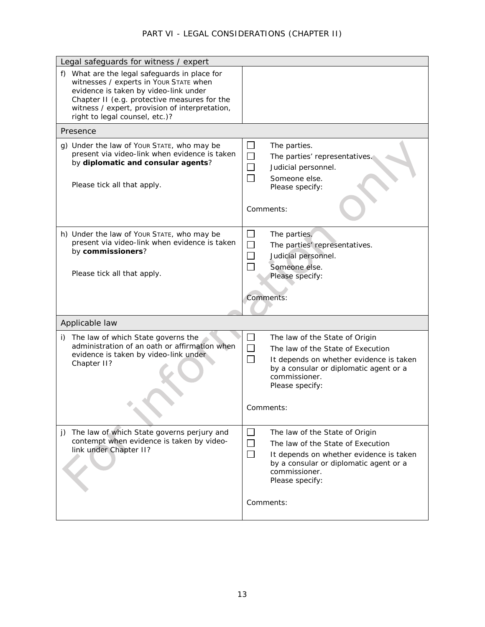# *PART VI - LEGAL CONSIDERATIONS (CHAPTER II)*

| Legal safeguards for witness / expert                                                                                                                                                                                                                                |                                                                                                                                                                                                                                         |  |
|----------------------------------------------------------------------------------------------------------------------------------------------------------------------------------------------------------------------------------------------------------------------|-----------------------------------------------------------------------------------------------------------------------------------------------------------------------------------------------------------------------------------------|--|
| f) What are the legal safeguards in place for<br>witnesses / experts in Your STATE when<br>evidence is taken by video-link under<br>Chapter II (e.g. protective measures for the<br>witness / expert, provision of interpretation,<br>right to legal counsel, etc.)? |                                                                                                                                                                                                                                         |  |
| Presence                                                                                                                                                                                                                                                             |                                                                                                                                                                                                                                         |  |
| g) Under the law of Your STATE, who may be<br>present via video-link when evidence is taken<br>by diplomatic and consular agents?                                                                                                                                    | ⊔<br>The parties.<br>$\Box$<br>The parties' representatives.<br>$\Box$<br>Judicial personnel.<br>$\Box$<br>Someone else.                                                                                                                |  |
| Please tick all that apply.                                                                                                                                                                                                                                          | Please specify:                                                                                                                                                                                                                         |  |
|                                                                                                                                                                                                                                                                      | Comments:                                                                                                                                                                                                                               |  |
| h) Under the law of Your STATE, who may be<br>present via video-link when evidence is taken<br>by commissioners?                                                                                                                                                     | The parties.<br>$\Box$<br>$\Box$<br>The parties' representatives.<br>Judicial personnel.<br>Someone else.                                                                                                                               |  |
| Please tick all that apply.                                                                                                                                                                                                                                          | Please specify:                                                                                                                                                                                                                         |  |
|                                                                                                                                                                                                                                                                      |                                                                                                                                                                                                                                         |  |
|                                                                                                                                                                                                                                                                      | Comments:                                                                                                                                                                                                                               |  |
| Applicable law                                                                                                                                                                                                                                                       |                                                                                                                                                                                                                                         |  |
| i) The law of which State governs the<br>administration of an oath or affirmation when<br>evidence is taken by video-link under<br>Chapter II?                                                                                                                       | The law of the State of Origin<br>П<br>The law of the State of Execution<br>$\Box$<br>It depends on whether evidence is taken<br>by a consular or diplomatic agent or a<br>commissioner.<br>Please specify:<br>Comments:                |  |
| j) The law of which State governs perjury and<br>contempt when evidence is taken by video-<br>link under Chapter II?                                                                                                                                                 | $\Box$<br>The law of the State of Origin<br>The law of the State of Execution<br>$\sim$<br>$\Box$<br>It depends on whether evidence is taken<br>by a consular or diplomatic agent or a<br>commissioner.<br>Please specify:<br>Comments: |  |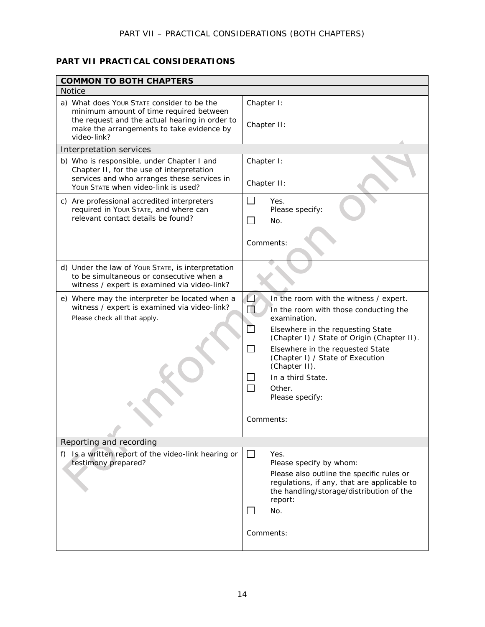# **PART VII PRACTICAL CONSIDERATIONS**

| <b>COMMON TO BOTH CHAPTERS</b>                                                                                                                                                |                                                                                                                                                                                                                                                                                                                                                                                  |  |
|-------------------------------------------------------------------------------------------------------------------------------------------------------------------------------|----------------------------------------------------------------------------------------------------------------------------------------------------------------------------------------------------------------------------------------------------------------------------------------------------------------------------------------------------------------------------------|--|
| <b>Notice</b>                                                                                                                                                                 |                                                                                                                                                                                                                                                                                                                                                                                  |  |
| a) What does Your STATE consider to be the<br>minimum amount of time required between<br>the request and the actual hearing in order to                                       | Chapter I:<br>Chapter II:                                                                                                                                                                                                                                                                                                                                                        |  |
| make the arrangements to take evidence by<br>video-link?                                                                                                                      |                                                                                                                                                                                                                                                                                                                                                                                  |  |
| Interpretation services                                                                                                                                                       |                                                                                                                                                                                                                                                                                                                                                                                  |  |
| b) Who is responsible, under Chapter I and<br>Chapter II, for the use of interpretation<br>services and who arranges these services in<br>YOUR STATE when video-link is used? | Chapter I:<br>Chapter II:                                                                                                                                                                                                                                                                                                                                                        |  |
| c) Are professional accredited interpreters<br>required in Your STATE, and where can<br>relevant contact details be found?                                                    | $\Box$<br>Yes.<br>Please specify:<br>$\sim$<br>No.                                                                                                                                                                                                                                                                                                                               |  |
|                                                                                                                                                                               | Comments:                                                                                                                                                                                                                                                                                                                                                                        |  |
| d) Under the law of Your STATE, is interpretation<br>to be simultaneous or consecutive when a<br>witness / expert is examined via video-link?                                 |                                                                                                                                                                                                                                                                                                                                                                                  |  |
| e) Where may the interpreter be located when a<br>witness / expert is examined via video-link?<br>Please check all that apply.                                                | $\Box$<br>In the room with the witness / expert.<br>П<br>In the room with those conducting the<br>examination.<br>Elsewhere in the requesting State<br>(Chapter I) / State of Origin (Chapter II).<br>┓<br>Elsewhere in the requested State<br>(Chapter I) / State of Execution<br>(Chapter II).<br>In a third State.<br>$\Box$<br>Other.<br>Please specify:<br><i>Comments:</i> |  |
| Reporting and recording                                                                                                                                                       |                                                                                                                                                                                                                                                                                                                                                                                  |  |
| f) Is a written report of the video-link hearing or<br>testimony prepared?                                                                                                    | $\perp$<br>Yes.<br>Please specify by whom:<br>Please also outline the specific rules or<br>regulations, if any, that are applicable to<br>the handling/storage/distribution of the<br>report:<br>No.<br>Comments:                                                                                                                                                                |  |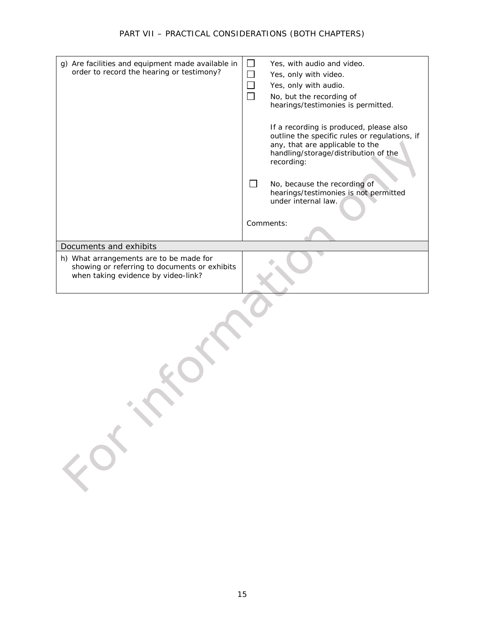## *PART VII – PRACTICAL CONSIDERATIONS (BOTH CHAPTERS)*

| g) Are facilities and equipment made available in<br>order to record the hearing or testimony?                                  | $\Box$<br>Yes, with audio and video.<br>$\Box$<br>Yes, only with video.<br>$\Box$<br>Yes, only with audio.<br>$\Box$<br>No, but the recording of<br>hearings/testimonies is permitted.<br>If a recording is produced, please also<br>outline the specific rules or regulations, if<br>any, that are applicable to the<br>handling/storage/distribution of the<br>recording:<br>П<br>No, because the recording of |
|---------------------------------------------------------------------------------------------------------------------------------|------------------------------------------------------------------------------------------------------------------------------------------------------------------------------------------------------------------------------------------------------------------------------------------------------------------------------------------------------------------------------------------------------------------|
|                                                                                                                                 | hearings/testimonies is not permitted<br>under internal law.<br>Comments:                                                                                                                                                                                                                                                                                                                                        |
| Documents and exhibits                                                                                                          |                                                                                                                                                                                                                                                                                                                                                                                                                  |
| h) What arrangements are to be made for<br>showing or referring to documents or exhibits<br>when taking evidence by video-link? |                                                                                                                                                                                                                                                                                                                                                                                                                  |
|                                                                                                                                 |                                                                                                                                                                                                                                                                                                                                                                                                                  |

 $\mathcal{L}$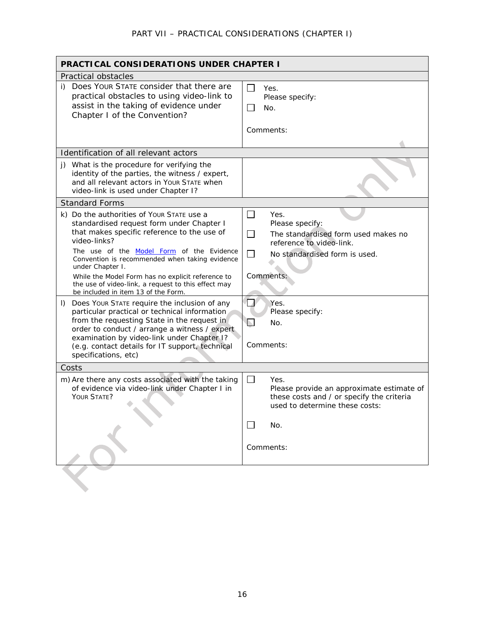| <b>PRACTICAL CONSIDERATIONS UNDER CHAPTER I</b>                                                                                                                                                                                                                                                                                                                                                                                                                                                                                                                                                                                                                                                                                                                  |                                                                                                                                                                                                                                                                                  |  |
|------------------------------------------------------------------------------------------------------------------------------------------------------------------------------------------------------------------------------------------------------------------------------------------------------------------------------------------------------------------------------------------------------------------------------------------------------------------------------------------------------------------------------------------------------------------------------------------------------------------------------------------------------------------------------------------------------------------------------------------------------------------|----------------------------------------------------------------------------------------------------------------------------------------------------------------------------------------------------------------------------------------------------------------------------------|--|
| Practical obstacles                                                                                                                                                                                                                                                                                                                                                                                                                                                                                                                                                                                                                                                                                                                                              |                                                                                                                                                                                                                                                                                  |  |
| i) Does YOUR STATE consider that there are<br>practical obstacles to using video-link to<br>assist in the taking of evidence under<br>Chapter I of the Convention?                                                                                                                                                                                                                                                                                                                                                                                                                                                                                                                                                                                               | $\Box$<br>Yes.<br>Please specify:<br>No.<br>Comments:                                                                                                                                                                                                                            |  |
| Identification of all relevant actors                                                                                                                                                                                                                                                                                                                                                                                                                                                                                                                                                                                                                                                                                                                            |                                                                                                                                                                                                                                                                                  |  |
| j) What is the procedure for verifying the<br>identity of the parties, the witness / expert,<br>and all relevant actors in Your STATE when<br>video-link is used under Chapter I?                                                                                                                                                                                                                                                                                                                                                                                                                                                                                                                                                                                |                                                                                                                                                                                                                                                                                  |  |
| <b>Standard Forms</b>                                                                                                                                                                                                                                                                                                                                                                                                                                                                                                                                                                                                                                                                                                                                            |                                                                                                                                                                                                                                                                                  |  |
| k) Do the authorities of Your STATE use a<br>standardised request form under Chapter I<br>that makes specific reference to the use of<br>video-links?<br>The use of the Model Form of the Evidence<br>Convention is recommended when taking evidence<br>under Chapter I.<br>While the Model Form has no explicit reference to<br>the use of video-link, a request to this effect may<br>be included in item 13 of the Form.<br>Does Your STATE require the inclusion of any<br>$\vert$<br>particular practical or technical information<br>from the requesting State in the request in<br>order to conduct / arrange a witness / expert<br>examination by video-link under Chapter I?<br>(e.g. contact details for IT support, technical<br>specifications, etc) | $\Box$<br>Yes.<br>Please specify:<br>$\overline{\phantom{a}}$<br>The standardised form used makes no<br>reference to video-link.<br>No standardised form is used.<br>$\blacksquare$<br>Comments:<br>$\Box$<br>Yes.<br>Please specify:<br>$\mathbb{N}$<br>No.<br><i>Comments:</i> |  |
| Costs                                                                                                                                                                                                                                                                                                                                                                                                                                                                                                                                                                                                                                                                                                                                                            |                                                                                                                                                                                                                                                                                  |  |
| m) Are there any costs associated with the taking<br>of evidence via video-link under Chapter I in<br>YOUR STATE?                                                                                                                                                                                                                                                                                                                                                                                                                                                                                                                                                                                                                                                | $\Box$<br>Yes.<br>Please provide an approximate estimate of<br>these costs and / or specify the criteria<br>used to determine these costs:                                                                                                                                       |  |
|                                                                                                                                                                                                                                                                                                                                                                                                                                                                                                                                                                                                                                                                                                                                                                  | No.<br>Comments:                                                                                                                                                                                                                                                                 |  |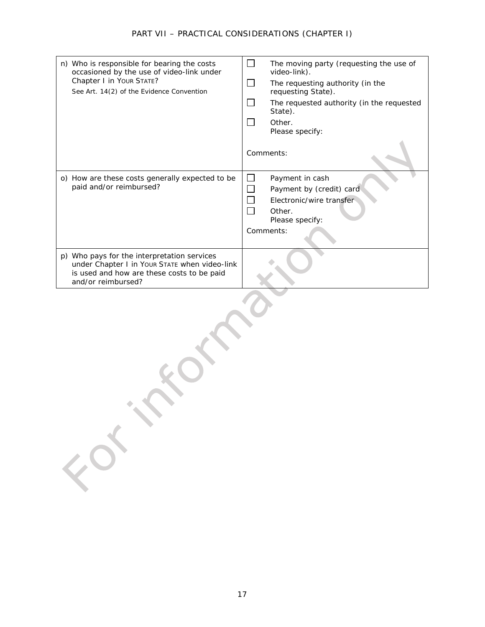| n) Who is responsible for bearing the costs<br>occasioned by the use of video-link under<br>Chapter I in Your STATE?<br>See Art. 14(2) of the Evidence Convention | The moving party (requesting the use of<br>video-link).<br>The requesting authority (in the<br>requesting State).<br>The requested authority (in the requested<br>State).<br>Other.<br>Please specify: |
|-------------------------------------------------------------------------------------------------------------------------------------------------------------------|--------------------------------------------------------------------------------------------------------------------------------------------------------------------------------------------------------|
|                                                                                                                                                                   | Comments:                                                                                                                                                                                              |
| o) How are these costs generally expected to be<br>paid and/or reimbursed?                                                                                        | Payment in cash<br>Payment by (credit) card<br>Electronic/wire transfer<br>Other.<br>Please specify:<br>Comments:                                                                                      |
| p) Who pays for the interpretation services<br>under Chapter I in Your STATE when video-link<br>is used and how are these costs to be paid<br>and/or reimbursed?  |                                                                                                                                                                                                        |

FORT C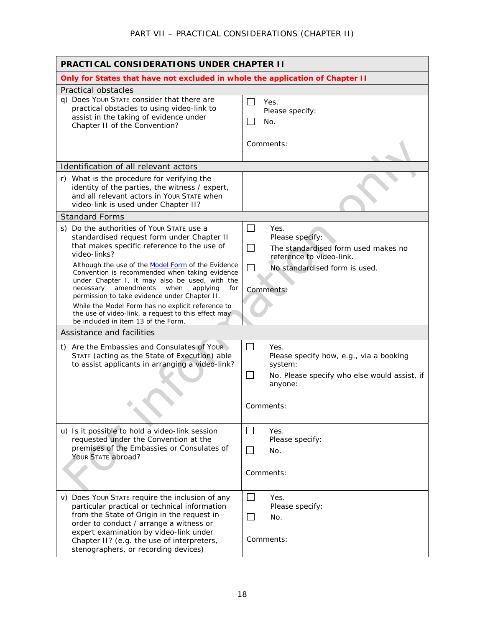| <b>PRACTICAL CONSIDERATIONS UNDER CHAPTER II</b>                                                                                                                                                                                                                                                                                                                                                                     |                                                                                                                                                                                             |  |
|----------------------------------------------------------------------------------------------------------------------------------------------------------------------------------------------------------------------------------------------------------------------------------------------------------------------------------------------------------------------------------------------------------------------|---------------------------------------------------------------------------------------------------------------------------------------------------------------------------------------------|--|
| Only for States that have not excluded in whole the application of Chapter II                                                                                                                                                                                                                                                                                                                                        |                                                                                                                                                                                             |  |
| Practical obstacles<br>q) Does Your STATE consider that there are<br>practical obstacles to using video-link to<br>assist in the taking of evidence under<br>Chapter II of the Convention?                                                                                                                                                                                                                           | $\perp$<br>Yes.<br>Please specify:<br>No.                                                                                                                                                   |  |
|                                                                                                                                                                                                                                                                                                                                                                                                                      | Comments:                                                                                                                                                                                   |  |
| Identification of all relevant actors                                                                                                                                                                                                                                                                                                                                                                                |                                                                                                                                                                                             |  |
| r) What is the procedure for verifying the<br>identity of the parties, the witness / expert,<br>and all relevant actors in Your STATE when<br>video-link is used under Chapter II?                                                                                                                                                                                                                                   |                                                                                                                                                                                             |  |
| <b>Standard Forms</b>                                                                                                                                                                                                                                                                                                                                                                                                |                                                                                                                                                                                             |  |
| s) Do the authorities of Your STATE use a<br>standardised request form under Chapter II<br>that makes specific reference to the use of<br>video-links?<br>Although the use of the Model Form of the Evidence<br>Convention is recommended when taking evidence<br>under Chapter I, it may also be used, with the<br>necessary amendments<br>when<br>applying<br>for<br>permission to take evidence under Chapter II. | $\mathcal{L}_{\mathcal{A}}$<br>Yes.<br>Please specify:<br>$\Box$<br>The standardised form used makes no<br>reference to video-link.<br>No standardised form is used.<br>$\Box$<br>Comments: |  |
| While the Model Form has no explicit reference to<br>the use of video-link, a request to this effect may<br>be included in item 13 of the Form.                                                                                                                                                                                                                                                                      |                                                                                                                                                                                             |  |
| Assistance and facilities                                                                                                                                                                                                                                                                                                                                                                                            |                                                                                                                                                                                             |  |
| t) Are the Embassies and Consulates of Your<br>STATE (acting as the State of Execution) able<br>to assist applicants in arranging a video-link?                                                                                                                                                                                                                                                                      | $\mathbb{R}^n$<br>Yes.<br>Please specify how, e.g., via a booking<br>system:<br>$\mathbf{I}$<br>No. Please specify who else would assist, if<br>anyone:                                     |  |
|                                                                                                                                                                                                                                                                                                                                                                                                                      | <i>Comments:</i>                                                                                                                                                                            |  |
| u) Is it possible to hold a video-link session<br>requested under the Convention at the<br>premises of the Embassies or Consulates of<br>YOUR STATE abroad?                                                                                                                                                                                                                                                          | $\perp$<br>Yes.<br>Please specify:<br>$\Box$<br>No.<br>Comments:                                                                                                                            |  |
| v) Does Your STATE require the inclusion of any<br>particular practical or technical information<br>from the State of Origin in the request in<br>order to conduct / arrange a witness or<br>expert examination by video-link under<br>Chapter II? (e.g. the use of interpreters,<br>stenographers, or recording devices)                                                                                            | $\Box$<br>Yes.<br>Please specify:<br>$\perp$<br>No.<br>Comments:                                                                                                                            |  |